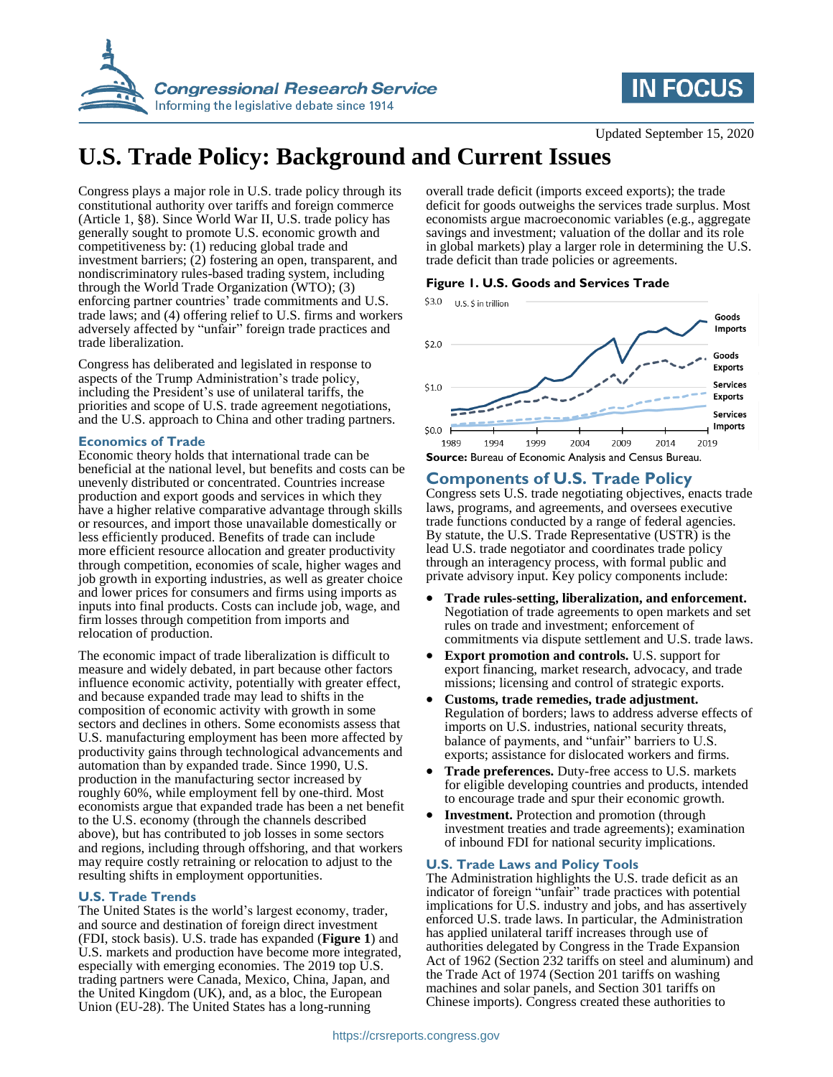



# **U.S. Trade Policy: Background and Current Issues**

Congress plays a major role in U.S. trade policy through its constitutional authority over tariffs and foreign commerce (Article 1, §8). Since World War II, U.S. trade policy has generally sought to promote U.S. economic growth and competitiveness by: (1) reducing global trade and investment barriers; (2) fostering an open, transparent, and nondiscriminatory rules-based trading system, including through the World Trade Organization (WTO); (3) enforcing partner countries' trade commitments and U.S. trade laws; and (4) offering relief to U.S. firms and workers adversely affected by "unfair" foreign trade practices and trade liberalization.

Congress has deliberated and legislated in response to aspects of the Trump Administration's trade policy, including the President's use of unilateral tariffs, the priorities and scope of U.S. trade agreement negotiations, and the U.S. approach to China and other trading partners.

#### **Economics of Trade**

Economic theory holds that international trade can be beneficial at the national level, but benefits and costs can be unevenly distributed or concentrated. Countries increase production and export goods and services in which they have a higher relative comparative advantage through skills or resources, and import those unavailable domestically or less efficiently produced. Benefits of trade can include more efficient resource allocation and greater productivity through competition, economies of scale, higher wages and job growth in exporting industries, as well as greater choice and lower prices for consumers and firms using imports as inputs into final products. Costs can include job, wage, and firm losses through competition from imports and relocation of production.

The economic impact of trade liberalization is difficult to measure and widely debated, in part because other factors influence economic activity, potentially with greater effect, and because expanded trade may lead to shifts in the composition of economic activity with growth in some sectors and declines in others. Some economists assess that U.S. manufacturing employment has been more affected by productivity gains through technological advancements and automation than by expanded trade. Since 1990, U.S. production in the manufacturing sector increased by roughly 60%, while employment fell by one-third. Most economists argue that expanded trade has been a net benefit to the U.S. economy (through the channels described above), but has contributed to job losses in some sectors and regions, including through offshoring, and that workers may require costly retraining or relocation to adjust to the resulting shifts in employment opportunities.

#### **U.S. Trade Trends**

The United States is the world's largest economy, trader, and source and destination of foreign direct investment (FDI, stock basis). U.S. trade has expanded (**[Figure 1](#page-0-0)**) and U.S. markets and production have become more integrated, especially with emerging economies. The 2019 top U.S. trading partners were Canada, Mexico, China, Japan, and the United Kingdom (UK), and, as a bloc, the European Union (EU-28). The United States has a long-running

overall trade deficit (imports exceed exports); the trade deficit for goods outweighs the services trade surplus. Most economists argue macroeconomic variables (e.g., aggregate savings and investment; valuation of the dollar and its role in global markets) play a larger role in determining the U.S. trade deficit than trade policies or agreements.

<span id="page-0-0"></span>**Figure 1. U.S. Goods and Services Trade**



# **Components of U.S. Trade Policy**

Congress sets U.S. trade negotiating objectives, enacts trade laws, programs, and agreements, and oversees executive trade functions conducted by a range of federal agencies. By statute, the U.S. Trade Representative (USTR) is the lead U.S. trade negotiator and coordinates trade policy through an interagency process, with formal public and private advisory input. Key policy components include:

- **Trade rules-setting, liberalization, and enforcement.** Negotiation of trade agreements to open markets and set rules on trade and investment; enforcement of commitments via dispute settlement and U.S. trade laws.
- **Export promotion and controls.** U.S. support for export financing, market research, advocacy, and trade missions; licensing and control of strategic exports.
- **Customs, trade remedies, trade adjustment.** Regulation of borders; laws to address adverse effects of imports on U.S. industries, national security threats, balance of payments, and "unfair" barriers to U.S. exports; assistance for dislocated workers and firms.
- **Trade preferences.** Duty-free access to U.S. markets for eligible developing countries and products, intended to encourage trade and spur their economic growth.
- **Investment.** Protection and promotion (through investment treaties and trade agreements); examination of inbound FDI for national security implications.

#### **U.S. Trade Laws and Policy Tools**

The Administration highlights the U.S. trade deficit as an indicator of foreign "unfair" trade practices with potential implications for U.S. industry and jobs, and has assertively enforced U.S. trade laws. In particular, the Administration has applied unilateral tariff increases through use of authorities delegated by Congress in the Trade Expansion Act of 1962 (Section 232 tariffs on steel and aluminum) and the Trade Act of 1974 (Section 201 tariffs on washing machines and solar panels, and Section 301 tariffs on Chinese imports). Congress created these authorities to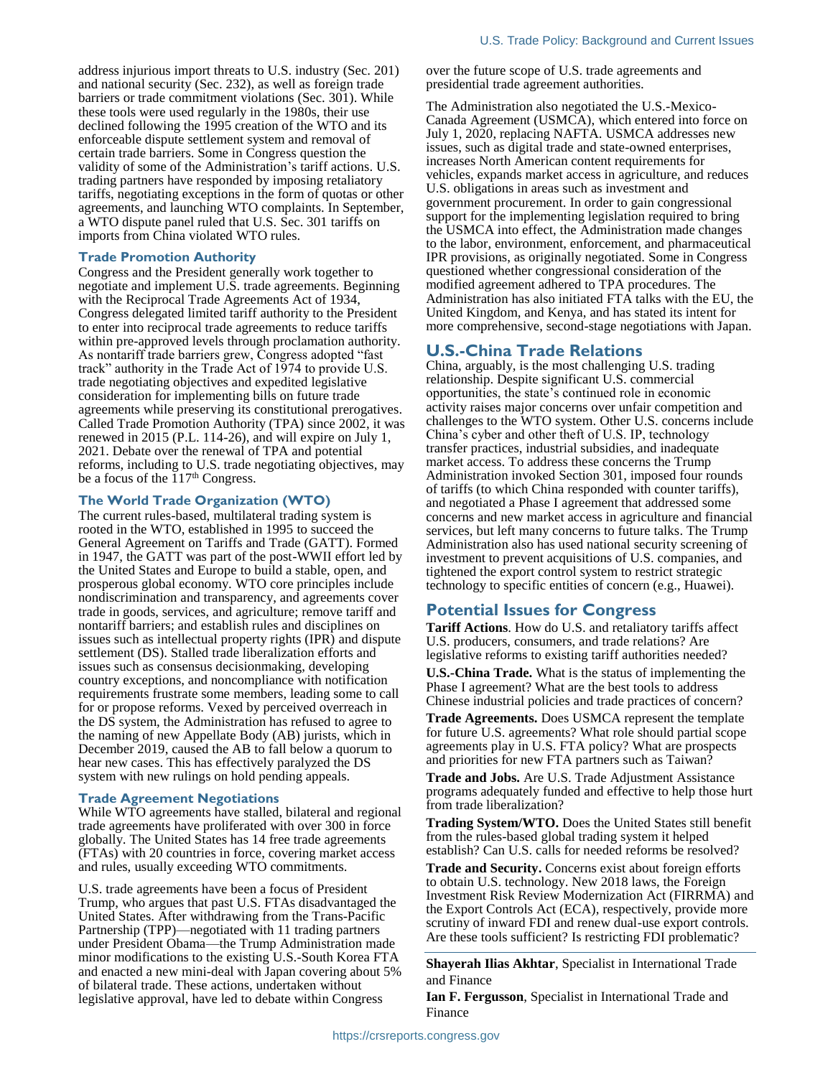address injurious import threats to U.S. industry (Sec. 201) and national security (Sec. 232), as well as foreign trade barriers or trade commitment violations (Sec. 301). While these tools were used regularly in the 1980s, their use declined following the 1995 creation of the WTO and its enforceable dispute settlement system and removal of certain trade barriers. Some in Congress question the validity of some of the Administration's tariff actions. U.S. trading partners have responded by imposing retaliatory tariffs, negotiating exceptions in the form of quotas or other agreements, and launching WTO complaints. In September, a WTO dispute panel ruled that U.S. Sec. 301 tariffs on imports from China violated WTO rules.

#### **Trade Promotion Authority**

Congress and the President generally work together to negotiate and implement U.S. trade agreements. Beginning with the Reciprocal Trade Agreements Act of 1934, Congress delegated limited tariff authority to the President to enter into reciprocal trade agreements to reduce tariffs within pre-approved levels through proclamation authority. As nontariff trade barriers grew, Congress adopted "fast track" authority in the Trade Act of 1974 to provide U.S. trade negotiating objectives and expedited legislative consideration for implementing bills on future trade agreements while preserving its constitutional prerogatives. Called Trade Promotion Authority (TPA) since 2002, it was renewed in 2015 (P.L. 114-26), and will expire on July 1, 2021. Debate over the renewal of TPA and potential reforms, including to U.S. trade negotiating objectives, may be a focus of the 117<sup>th</sup> Congress.

#### **The World Trade Organization (WTO)**

The current rules-based, multilateral trading system is rooted in the WTO, established in 1995 to succeed the General Agreement on Tariffs and Trade (GATT). Formed in 1947, the GATT was part of the post-WWII effort led by the United States and Europe to build a stable, open, and prosperous global economy. WTO core principles include nondiscrimination and transparency, and agreements cover trade in goods, services, and agriculture; remove tariff and nontariff barriers; and establish rules and disciplines on issues such as intellectual property rights (IPR) and dispute settlement (DS). Stalled trade liberalization efforts and issues such as consensus decisionmaking, developing country exceptions, and noncompliance with notification requirements frustrate some members, leading some to call for or propose reforms. Vexed by perceived overreach in the DS system, the Administration has refused to agree to the naming of new Appellate Body (AB) jurists, which in December 2019, caused the AB to fall below a quorum to hear new cases. This has effectively paralyzed the DS system with new rulings on hold pending appeals.

#### **Trade Agreement Negotiations**

While WTO agreements have stalled, bilateral and regional trade agreements have proliferated with over 300 in force globally. The United States has 14 free trade agreements (FTAs) with 20 countries in force, covering market access and rules, usually exceeding WTO commitments.

U.S. trade agreements have been a focus of President Trump, who argues that past U.S. FTAs disadvantaged the United States. After withdrawing from the Trans-Pacific Partnership (TPP)—negotiated with 11 trading partners under President Obama—the Trump Administration made minor modifications to the existing U.S.-South Korea FTA and enacted a new mini-deal with Japan covering about 5% of bilateral trade. These actions, undertaken without legislative approval, have led to debate within Congress

over the future scope of U.S. trade agreements and presidential trade agreement authorities.

The Administration also negotiated the U.S.-Mexico-Canada Agreement (USMCA), which entered into force on July 1, 2020, replacing NAFTA. USMCA addresses new issues, such as digital trade and state-owned enterprises, increases North American content requirements for vehicles, expands market access in agriculture, and reduces U.S. obligations in areas such as investment and government procurement. In order to gain congressional support for the implementing legislation required to bring the USMCA into effect, the Administration made changes to the labor, environment, enforcement, and pharmaceutical IPR provisions, as originally negotiated. Some in Congress questioned whether congressional consideration of the modified agreement adhered to TPA procedures. The Administration has also initiated FTA talks with the EU, the United Kingdom, and Kenya, and has stated its intent for more comprehensive, second-stage negotiations with Japan.

## **U.S.-China Trade Relations**

China, arguably, is the most challenging U.S. trading relationship. Despite significant U.S. commercial opportunities, the state's continued role in economic activity raises major concerns over unfair competition and challenges to the WTO system. Other U.S. concerns include China's cyber and other theft of U.S. IP, technology transfer practices, industrial subsidies, and inadequate market access. To address these concerns the Trump Administration invoked Section 301, imposed four rounds of tariffs (to which China responded with counter tariffs), and negotiated a Phase I agreement that addressed some concerns and new market access in agriculture and financial services, but left many concerns to future talks. The Trump Administration also has used national security screening of investment to prevent acquisitions of U.S. companies, and tightened the export control system to restrict strategic technology to specific entities of concern (e.g., Huawei).

### **Potential Issues for Congress**

**Tariff Actions**. How do U.S. and retaliatory tariffs affect U.S. producers, consumers, and trade relations? Are legislative reforms to existing tariff authorities needed?

**U.S.-China Trade.** What is the status of implementing the Phase I agreement? What are the best tools to address Chinese industrial policies and trade practices of concern?

**Trade Agreements.** Does USMCA represent the template for future U.S. agreements? What role should partial scope agreements play in U.S. FTA policy? What are prospects and priorities for new FTA partners such as Taiwan?

**Trade and Jobs.** Are U.S. Trade Adjustment Assistance programs adequately funded and effective to help those hurt from trade liberalization?

**Trading System/WTO.** Does the United States still benefit from the rules-based global trading system it helped establish? Can U.S. calls for needed reforms be resolved?

**Trade and Security.** Concerns exist about foreign efforts to obtain U.S. technology. New 2018 laws, the Foreign Investment Risk Review Modernization Act (FIRRMA) and the Export Controls Act (ECA), respectively, provide more scrutiny of inward FDI and renew dual-use export controls. Are these tools sufficient? Is restricting FDI problematic?

**Shayerah Ilias Akhtar**, Specialist in International Trade and Finance

**Ian F. Fergusson**, Specialist in International Trade and Finance